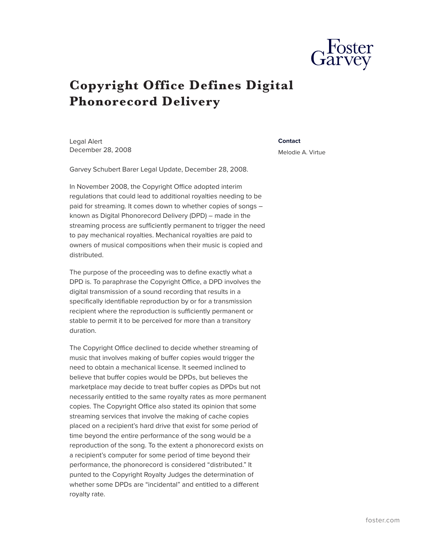

## **Copyright Office Defines Digital Phonorecord Delivery**

Legal Alert December 28, 2008

## **Contact**

Melodie A. Virtue

Garvey Schubert Barer Legal Update, December 28, 2008.

In November 2008, the Copyright Office adopted interim regulations that could lead to additional royalties needing to be paid for streaming. It comes down to whether copies of songs – known as Digital Phonorecord Delivery (DPD) – made in the streaming process are sufficiently permanent to trigger the need to pay mechanical royalties. Mechanical royalties are paid to owners of musical compositions when their music is copied and distributed.

The purpose of the proceeding was to define exactly what a DPD is. To paraphrase the Copyright Office, a DPD involves the digital transmission of a sound recording that results in a specifically identifiable reproduction by or for a transmission recipient where the reproduction is sufficiently permanent or stable to permit it to be perceived for more than a transitory duration.

The Copyright Office declined to decide whether streaming of music that involves making of buffer copies would trigger the need to obtain a mechanical license. It seemed inclined to believe that buffer copies would be DPDs, but believes the marketplace may decide to treat buffer copies as DPDs but not necessarily entitled to the same royalty rates as more permanent copies. The Copyright Office also stated its opinion that some streaming services that involve the making of cache copies placed on a recipient's hard drive that exist for some period of time beyond the entire performance of the song would be a reproduction of the song. To the extent a phonorecord exists on a recipient's computer for some period of time beyond their performance, the phonorecord is considered "distributed." It punted to the Copyright Royalty Judges the determination of whether some DPDs are "incidental" and entitled to a different royalty rate.